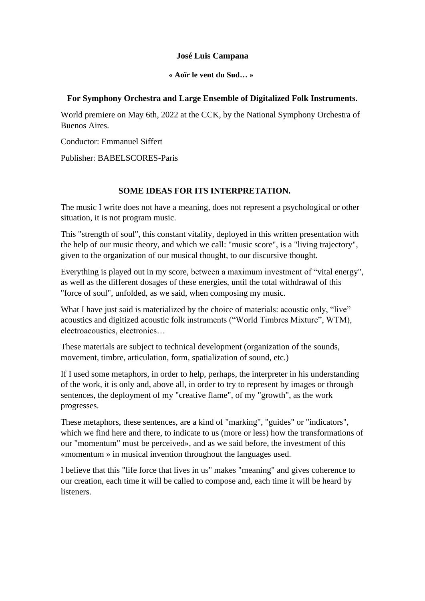### **José Luis Campana**

**« Aoïr le vent du Sud… »**

#### **For Symphony Orchestra and Large Ensemble of Digitalized Folk Instruments.**

World premiere on May 6th, 2022 at the CCK, by the National Symphony Orchestra of Buenos Aires.

Conductor: Emmanuel Siffert

Publisher: BABELSCORES-Paris

### **SOME IDEAS FOR ITS INTERPRETATION.**

The music I write does not have a meaning, does not represent a psychological or other situation, it is not program music.

This "strength of soul", this constant vitality, deployed in this written presentation with the help of our music theory, and which we call: "music score", is a "living trajectory", given to the organization of our musical thought, to our discursive thought.

Everything is played out in my score, between a maximum investment of "vital energy", as well as the different dosages of these energies, until the total withdrawal of this "force of soul", unfolded, as we said, when composing my music.

What I have just said is materialized by the choice of materials: acoustic only, "live" acoustics and digitized acoustic folk instruments ("World Timbres Mixture", WTM), electroacoustics, electronics…

These materials are subject to technical development (organization of the sounds, movement, timbre, articulation, form, spatialization of sound, etc.)

If I used some metaphors, in order to help, perhaps, the interpreter in his understanding of the work, it is only and, above all, in order to try to represent by images or through sentences, the deployment of my "creative flame", of my "growth", as the work progresses.

These metaphors, these sentences, are a kind of "marking", "guides" or "indicators", which we find here and there, to indicate to us (more or less) how the transformations of our "momentum" must be perceived», and as we said before, the investment of this «momentum » in musical invention throughout the languages used.

I believe that this "life force that lives in us" makes "meaning" and gives coherence to our creation, each time it will be called to compose and, each time it will be heard by listeners.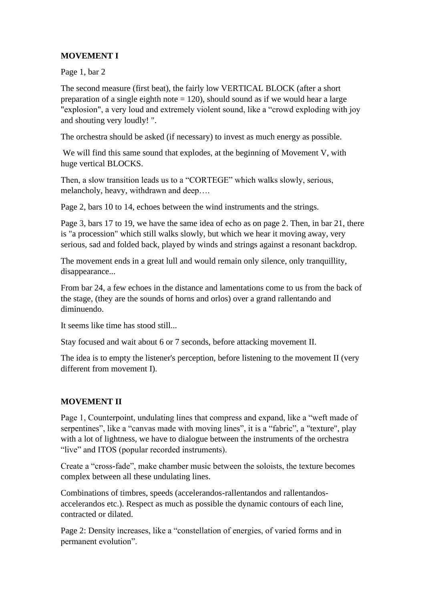# **MOVEMENT I**

Page 1, bar 2

The second measure (first beat), the fairly low VERTICAL BLOCK (after a short preparation of a single eighth note  $= 120$ ), should sound as if we would hear a large "explosion", a very loud and extremely violent sound, like a "crowd exploding with joy and shouting very loudly! ".

The orchestra should be asked (if necessary) to invest as much energy as possible.

We will find this same sound that explodes, at the beginning of Movement V, with huge vertical BLOCKS.

Then, a slow transition leads us to a "CORTEGE" which walks slowly, serious, melancholy, heavy, withdrawn and deep….

Page 2, bars 10 to 14, echoes between the wind instruments and the strings.

Page 3, bars 17 to 19, we have the same idea of echo as on page 2. Then, in bar 21, there is "a procession" which still walks slowly, but which we hear it moving away, very serious, sad and folded back, played by winds and strings against a resonant backdrop.

The movement ends in a great lull and would remain only silence, only tranquillity, disappearance...

From bar 24, a few echoes in the distance and lamentations come to us from the back of the stage, (they are the sounds of horns and orlos) over a grand rallentando and diminuendo.

It seems like time has stood still...

Stay focused and wait about 6 or 7 seconds, before attacking movement II.

The idea is to empty the listener's perception, before listening to the movement II (very different from movement I).

## **MOVEMENT II**

Page 1, Counterpoint, undulating lines that compress and expand, like a "weft made of serpentines", like a "canvas made with moving lines", it is a "fabric", a "texture", play with a lot of lightness, we have to dialogue between the instruments of the orchestra "live" and ITOS (popular recorded instruments).

Create a "cross-fade", make chamber music between the soloists, the texture becomes complex between all these undulating lines.

Combinations of timbres, speeds (accelerandos-rallentandos and rallentandosaccelerandos etc.). Respect as much as possible the dynamic contours of each line, contracted or dilated.

Page 2: Density increases, like a "constellation of energies, of varied forms and in permanent evolution".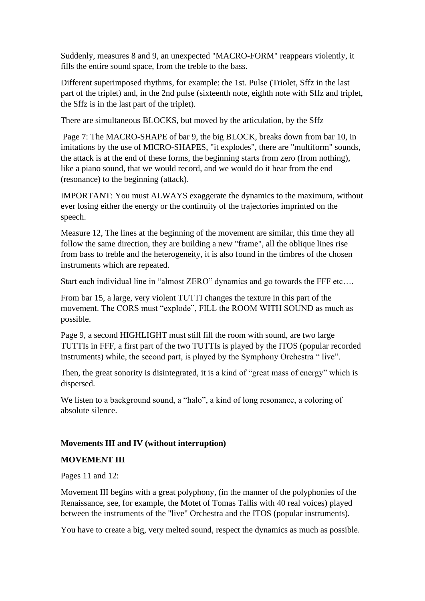Suddenly, measures 8 and 9, an unexpected "MACRO-FORM" reappears violently, it fills the entire sound space, from the treble to the bass.

Different superimposed rhythms, for example: the 1st. Pulse (Triolet, Sffz in the last part of the triplet) and, in the 2nd pulse (sixteenth note, eighth note with Sffz and triplet, the Sffz is in the last part of the triplet).

There are simultaneous BLOCKS, but moved by the articulation, by the Sffz

Page 7: The MACRO-SHAPE of bar 9, the big BLOCK, breaks down from bar 10, in imitations by the use of MICRO-SHAPES, "it explodes", there are "multiform" sounds, the attack is at the end of these forms, the beginning starts from zero (from nothing), like a piano sound, that we would record, and we would do it hear from the end (resonance) to the beginning (attack).

IMPORTANT: You must ALWAYS exaggerate the dynamics to the maximum, without ever losing either the energy or the continuity of the trajectories imprinted on the speech.

Measure 12, The lines at the beginning of the movement are similar, this time they all follow the same direction, they are building a new "frame", all the oblique lines rise from bass to treble and the heterogeneity, it is also found in the timbres of the chosen instruments which are repeated.

Start each individual line in "almost ZERO" dynamics and go towards the FFF etc….

From bar 15, a large, very violent TUTTI changes the texture in this part of the movement. The CORS must "explode", FILL the ROOM WITH SOUND as much as possible.

Page 9, a second HIGHLIGHT must still fill the room with sound, are two large TUTTIs in FFF, a first part of the two TUTTIs is played by the ITOS (popular recorded instruments) while, the second part, is played by the Symphony Orchestra " live".

Then, the great sonority is disintegrated, it is a kind of "great mass of energy" which is dispersed.

We listen to a background sound, a "halo", a kind of long resonance, a coloring of absolute silence.

### **Movements III and IV (without interruption)**

### **MOVEMENT III**

Pages 11 and 12:

Movement III begins with a great polyphony, (in the manner of the polyphonies of the Renaissance, see, for example, the Motet of Tomas Tallis with 40 real voices) played between the instruments of the "live" Orchestra and the ITOS (popular instruments).

You have to create a big, very melted sound, respect the dynamics as much as possible.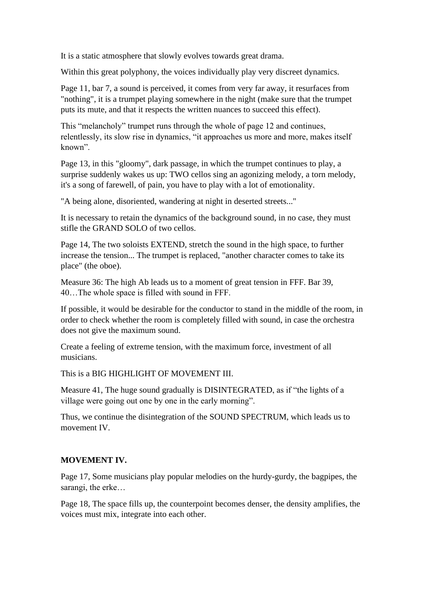It is a static atmosphere that slowly evolves towards great drama.

Within this great polyphony, the voices individually play very discreet dynamics.

Page 11, bar 7, a sound is perceived, it comes from very far away, it resurfaces from "nothing", it is a trumpet playing somewhere in the night (make sure that the trumpet puts its mute, and that it respects the written nuances to succeed this effect).

This "melancholy" trumpet runs through the whole of page 12 and continues, relentlessly, its slow rise in dynamics, "it approaches us more and more, makes itself known".

Page 13, in this "gloomy", dark passage, in which the trumpet continues to play, a surprise suddenly wakes us up: TWO cellos sing an agonizing melody, a torn melody, it's a song of farewell, of pain, you have to play with a lot of emotionality.

"A being alone, disoriented, wandering at night in deserted streets..."

It is necessary to retain the dynamics of the background sound, in no case, they must stifle the GRAND SOLO of two cellos.

Page 14, The two soloists EXTEND, stretch the sound in the high space, to further increase the tension... The trumpet is replaced, "another character comes to take its place" (the oboe).

Measure 36: The high Ab leads us to a moment of great tension in FFF. Bar 39, 40…The whole space is filled with sound in FFF.

If possible, it would be desirable for the conductor to stand in the middle of the room, in order to check whether the room is completely filled with sound, in case the orchestra does not give the maximum sound.

Create a feeling of extreme tension, with the maximum force, investment of all musicians.

This is a BIG HIGHLIGHT OF MOVEMENT III.

Measure 41, The huge sound gradually is DISINTEGRATED, as if "the lights of a village were going out one by one in the early morning".

Thus, we continue the disintegration of the SOUND SPECTRUM, which leads us to movement IV

### **MOVEMENT IV.**

Page 17, Some musicians play popular melodies on the hurdy-gurdy, the bagpipes, the sarangi, the erke…

Page 18, The space fills up, the counterpoint becomes denser, the density amplifies, the voices must mix, integrate into each other.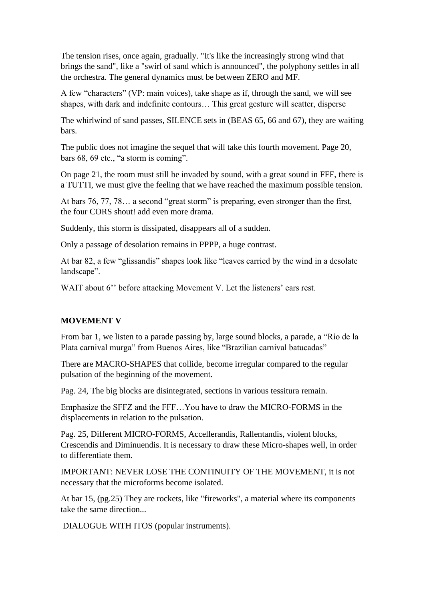The tension rises, once again, gradually. "It's like the increasingly strong wind that brings the sand", like a "swirl of sand which is announced", the polyphony settles in all the orchestra. The general dynamics must be between ZERO and MF.

A few "characters" (VP: main voices), take shape as if, through the sand, we will see shapes, with dark and indefinite contours… This great gesture will scatter, disperse

The whirlwind of sand passes, SILENCE sets in (BEAS 65, 66 and 67), they are waiting bars.

The public does not imagine the sequel that will take this fourth movement. Page 20, bars 68, 69 etc., "a storm is coming".

On page 21, the room must still be invaded by sound, with a great sound in FFF, there is a TUTTI, we must give the feeling that we have reached the maximum possible tension.

At bars 76, 77, 78… a second "great storm" is preparing, even stronger than the first, the four CORS shout! add even more drama.

Suddenly, this storm is dissipated, disappears all of a sudden.

Only a passage of desolation remains in PPPP, a huge contrast.

At bar 82, a few "glissandis" shapes look like "leaves carried by the wind in a desolate landscape".

WAIT about 6" before attacking Movement V. Let the listeners' ears rest.

### **MOVEMENT V**

From bar 1, we listen to a parade passing by, large sound blocks, a parade, a "Río de la Plata carnival murga" from Buenos Aires, like "Brazilian carnival batucadas"

There are MACRO-SHAPES that collide, become irregular compared to the regular pulsation of the beginning of the movement.

Pag. 24, The big blocks are disintegrated, sections in various tessitura remain.

Emphasize the SFFZ and the FFF…You have to draw the MICRO-FORMS in the displacements in relation to the pulsation.

Pag. 25, Different MICRO-FORMS, Accellerandis, Rallentandis, violent blocks, Crescendis and Diminuendis. It is necessary to draw these Micro-shapes well, in order to differentiate them.

IMPORTANT: NEVER LOSE THE CONTINUITY OF THE MOVEMENT, it is not necessary that the microforms become isolated.

At bar 15, (pg.25) They are rockets, like "fireworks", a material where its components take the same direction...

DIALOGUE WITH ITOS (popular instruments).